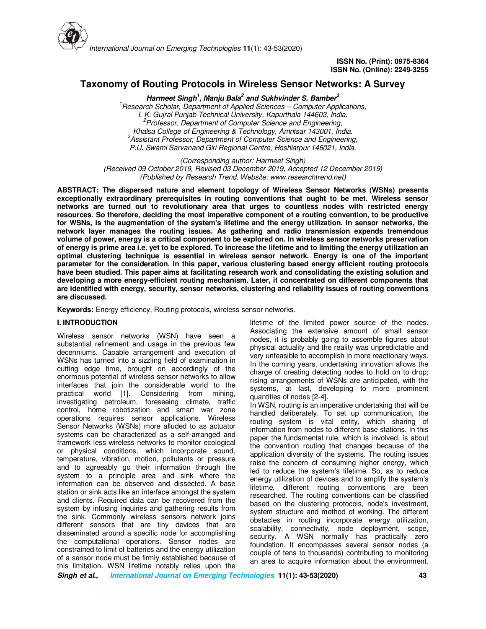

# **Taxonomy of Routing Protocols in Wireless Sensor Networks: A Survey**

**Harmeet Singh<sup>1</sup> , Manju Bala<sup>2</sup> and Sukhvinder S. Bamber<sup>3</sup>** *<sup>1</sup>Research Scholar, Department of Applied Sciences – Computer Applications, I. K. Gujral Punjab Technical University, Kapurthala 144603, India. <sup>2</sup>Professor, Department of Computer Science and Engineering, Khalsa College of Engineering & Technology, Amritsar 143001, India. <sup>3</sup>Assistant Professor, Department of Computer Science and Engineering, P.U. Swami Sarvanand Giri Regional Centre, Hoshiarpur 146021, India.*

*(Corresponding author: Harmeet Singh) (Received 09 October 2019, Revised 03 December 2019, Accepted 12 December 2019) (Published by Research Trend, Website: www.researchtrend.net)* 

**ABSTRACT: The dispersed nature and element topology of Wireless Sensor Networks (WSNs) presents exceptionally extraordinary prerequisites in routing conventions that ought to be met. Wireless sensor networks are turned out to revolutionary area that urges to countless nodes with restricted energy resources. So therefore, deciding the most imperative component of a routing convention, to be productive for WSNs, is the augmentation of the system's lifetime and the energy utilization. In sensor networks, the network layer manages the routing issues. As gathering and radio transmission expends tremendous volume of power, energy is a critical component to be explored on. In wireless sensor networks preservation of energy is prime area i.e. yet to be explored. To increase the lifetime and to limiting the energy utilization an optimal clustering technique is essential in wireless sensor network. Energy is one of the important parameter for the consideration. In this paper, various clustering based energy efficient routing protocols have been studied. This paper aims at facilitating research work and consolidating the existing solution and developing a more energy-efficient routing mechanism. Later, it concentrated on different components that are identified with energy, security, sensor networks, clustering and reliability issues of routing conventions are discussed.** 

**Keywords:** Energy efficiency, Routing protocols, wireless sensor networks.

# **I. INTRODUCTION**

Wireless sensor networks (WSN) have seen a substantial refinement and usage in the previous few decenniums. Capable arrangement and execution of WSNs has turned into a sizzling field of examination in cutting edge time, brought on accordingly of the enormous potential of wireless sensor networks to allow interfaces that join the considerable world to the practical world [1]. Considering from mining, investigating petroleum, foreseeing climate, traffic control, home robotization and smart war zone operations requires sensor applications. Wireless Sensor Networks (WSNs) more alluded to as actuator systems can be characterized as a self-arranged and framework less wireless networks to monitor ecological or physical conditions, which incorporate sound, temperature, vibration, motion, pollutants or pressure and to agreeably go their information through the system to a principle area and sink where the information can be observed and dissected. A base station or sink acts like an interface amongst the system and clients. Required data can be recovered from the system by infusing inquiries and gathering results from the sink. Commonly wireless sensors network joins different sensors that are tiny devices that are disseminated around a specific node for accomplishing the computational operations. Sensor nodes are constrained to limit of batteries and the energy utilization of a sensor node must be firmly established because of this limitation. WSN lifetime notably relies upon the

lifetime of the limited power source of the nodes. Associating the extensive amount of small sensor nodes, it is probably going to assemble figures about physical actuality and the reality was unpredictable and very unfeasible to accomplish in more reactionary ways. In the coming years, undertaking innovation allows the charge of creating detecting nodes to hold on to drop; rising arrangements of WSNs are anticipated, with the systems, at last, developing to more prominent quantities of nodes [2-4].

In WSN, routing is an imperative undertaking that will be handled deliberately. To set up communication, the routing system is vital entity, which sharing of information from nodes to different base stations. In this paper the fundamental rule, which is involved, is about the convention routing that changes because of the application diversity of the systems. The routing issues raise the concern of consuming higher energy, which led to reduce the system's lifetime. So, as to reduce energy utilization of devices and to amplify the system's lifetime, different routing conventions are been researched. The routing conventions can be classified based on the clustering protocols, node's investment, system structure and method of working. The different obstacles in routing incorporate energy utilization, scalability, connectivity, node deployment, scope, security. A WSN normally has practically zero foundation. It encompasses several sensor nodes (a couple of tens to thousands) contributing to monitoring an area to acquire information about the environment.

**Singh et al., International Journal on Emerging Technologies 11(1): 43-53(2020) 43**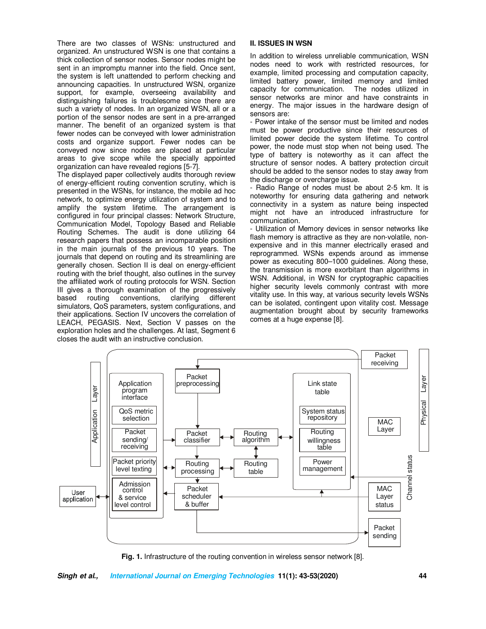There are two classes of WSNs: unstructured and organized. An unstructured WSN is one that contains a thick collection of sensor nodes. Sensor nodes might be sent in an impromptu manner into the field. Once sent, the system is left unattended to perform checking and announcing capacities. In unstructured WSN, organize support, for example, overseeing availability and distinguishing failures is troublesome since there are such a variety of nodes. In an organized WSN, all or a portion of the sensor nodes are sent in a pre-arranged manner. The benefit of an organized system is that fewer nodes can be conveyed with lower administration costs and organize support. Fewer nodes can be conveyed now since nodes are placed at particular areas to give scope while the specially appointed organization can have revealed regions [5-7].

The displayed paper collectively audits thorough review of energy-efficient routing convention scrutiny, which is presented in the WSNs, for instance, the mobile ad hoc network, to optimize energy utilization of system and to amplify the system lifetime. The arrangement is configured in four principal classes: Network Structure, Communication Model, Topology Based and Reliable Routing Schemes. The audit is done utilizing 64 research papers that possess an incomparable position in the main journals of the previous 10 years. The journals that depend on routing and its streamlining are generally chosen. Section II is deal on energy-efficient routing with the brief thought, also outlines in the survey the affiliated work of routing protocols for WSN. Section III gives a thorough examination of the progressively based routing conventions, clarifying different based routing conventions, clarifying simulators, QoS parameters, system configurations, and their applications. Section IV uncovers the correlation of LEACH, PEGASIS. Next, Section V passes on the exploration holes and the challenges. At last, Segment 6 closes the audit with an instructive conclusion.

# **II. ISSUES IN WSN**

In addition to wireless unreliable communication, WSN nodes need to work with restricted resources, for example, limited processing and computation capacity, limited battery power, limited memory and limited capacity for communication. The nodes utilized in sensor networks are minor and have constraints in energy. The major issues in the hardware design of sensors are:

- Power intake of the sensor must be limited and nodes must be power productive since their resources of limited power decide the system lifetime. To control power, the node must stop when not being used. The type of battery is noteworthy as it can affect the structure of sensor nodes. A battery protection circuit should be added to the sensor nodes to stay away from the discharge or overcharge issue.

- Radio Range of nodes must be about 2-5 km. It is noteworthy for ensuring data gathering and network connectivity in a system as nature being inspected might not have an introduced infrastructure for communication.

- Utilization of Memory devices in sensor networks like flash memory is attractive as they are non-volatile, nonexpensive and in this manner electrically erased and reprogrammed. WSNs expends around as immense power as executing 800–1000 guidelines. Along these, the transmission is more exorbitant than algorithms in WSN. Additional, in WSN for cryptographic capacities higher security levels commonly contrast with more vitality use. In this way, at various security levels WSNs can be isolated, contingent upon vitality cost. Message augmentation brought about by security frameworks comes at a huge expense [8].



**Fig. 1.** Infrastructure of the routing convention in wireless sensor network [8].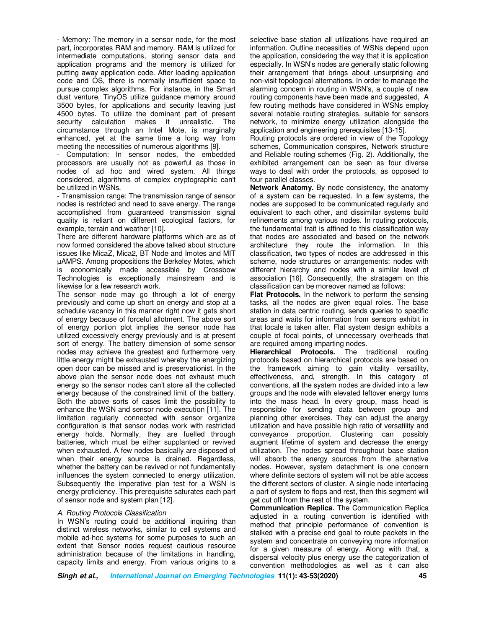- Memory: The memory in a sensor node, for the most part, incorporates RAM and memory. RAM is utilized for intermediate computations, storing sensor data and application programs and the memory is utilized for putting away application code. After loading application code and OS, there is normally insufficient space to pursue complex algorithms. For instance, in the Smart dust venture, TinyOS utilize guidance memory around 3500 bytes, for applications and security leaving just 4500 bytes. To utilize the dominant part of present security calculation makes it unrealistic. The circumstance through an Intel Mote, is marginally enhanced, yet at the same time a long way from meeting the necessities of numerous algorithms [9].

Computation: In sensor nodes, the embedded processors are usually not as powerful as those in nodes of ad hoc and wired system. All things considered, algorithms of complex cryptographic can't be utilized in WSNs.

- Transmission range: The transmission range of sensor nodes is restricted and need to save energy. The range accomplished from guaranteed transmission signal quality is reliant on different ecological factors, for example, terrain and weather [10].

There are different hardware platforms which are as of now formed considered the above talked about structure issues like MicaZ, Mica2, BT Node and Imotes and MIT µAMPS. Among propositions the Berkeley Motes, which is economically made accessible by Crossbow Technologies is exceptionally mainstream and is likewise for a few research work.

The sensor node may go through a lot of energy previously and come up short on energy and stop at a schedule vacancy in this manner right now it gets short of energy because of forceful allotment. The above sort of energy portion plot implies the sensor node has utilized excessively energy previously and is at present sort of energy. The battery dimension of some sensor nodes may achieve the greatest and furthermore very little energy might be exhausted whereby the energizing open door can be missed and is preservationist. In the above plan the sensor node does not exhaust much energy so the sensor nodes can't store all the collected energy because of the constrained limit of the battery. Both the above sorts of cases limit the possibility to enhance the WSN and sensor node execution [11]. The limitation regularly connected with sensor organize configuration is that sensor nodes work with restricted energy holds. Normally, they are fuelled through batteries, which must be either supplanted or revived when exhausted. A few nodes basically are disposed of when their energy source is drained. Regardless, whether the battery can be revived or not fundamentally influences the system connected to energy utilization. Subsequently the imperative plan test for a WSN is energy proficiency. This prerequisite saturates each part of sensor node and system plan [12].

# *A. Routing Protocols Classification*

In WSN's routing could be additional inquiring than distinct wireless networks, similar to cell systems and mobile ad-hoc systems for some purposes to such an extent that Sensor nodes request cautious resource administration because of the limitations in handling, capacity limits and energy. From various origins to a

selective base station all utilizations have required an information. Outline necessities of WSNs depend upon the application, considering the way that it is application especially. In WSN's nodes are generally static following their arrangement that brings about unsurprising and non-visit topological alternations. In order to manage the alarming concern in routing in WSN's, a couple of new routing components have been made and suggested, A few routing methods have considered in WSNs employ several notable routing strategies, suitable for sensors network, to minimize energy utilization alongside the application and engineering prerequisites [13-15].

Routing protocols are ordered in view of the Topology schemes, Communication conspires, Network structure and Reliable routing schemes (Fig. 2). Additionally, the exhibited arrangement can be seen as four diverse ways to deal with order the protocols, as opposed to four parallel classes.

**Network Anatomy.** By node consistency, the anatomy of a system can be requested. In a few systems, the nodes are supposed to be communicated regularly and equivalent to each other, and dissimilar systems build refinements among various nodes. In routing protocols, the fundamental trait is affined to this classification way that nodes are associated and based on the network architecture they route the information. In this classification, two types of nodes are addressed in this scheme, node structures or arrangements: nodes with different hierarchy and nodes with a similar level of association [16]. Consequently, the stratagem on this classification can be moreover named as follows:

**Flat Protocols.** In the network to perform the sensing tasks, all the nodes are given equal roles. The base station in data centric routing, sends queries to specific areas and waits for information from sensors exhibit in that locale is taken after. Flat system design exhibits a couple of focal points, of unnecessary overheads that are required among imparting nodes.

**Hierarchical Protocols.** The traditional routing protocols based on hierarchical protocols are based on the framework aiming to gain vitality versatility, effectiveness, and, strength. In this category of conventions, all the system nodes are divided into a few groups and the node with elevated leftover energy turns into the mass head. In every group, mass head is responsible for sending data between group and planning other exercises. They can adjust the energy utilization and have possible high ratio of versatility and conveyance proportion. Clustering can possibly augment lifetime of system and decrease the energy utilization. The nodes spread throughout base station will absorb the energy sources from the alternative nodes. However, system detachment is one concern where definite sectors of system will not be able access the different sectors of cluster. A single node interfacing a part of system to flops and rest, then this segment will get cut off from the rest of the system.

**Communication Replica.** The Communication Replica adjusted in a routing convention is identified with method that principle performance of convention is stalked with a precise end goal to route packets in the system and concentrate on conveying more information for a given measure of energy. Along with that, a dispersal velocity plus energy use the categorization of convention methodologies as well as it can also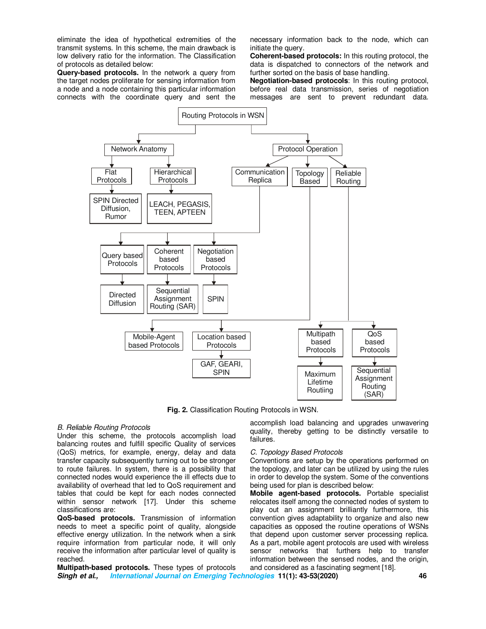eliminate the idea of hypothetical extremities of the transmit systems. In this scheme, the main drawback is low delivery ratio for the information. The Classification of protocols as detailed below:

**Query-based protocols.** In the network a query from the target nodes proliferate for sensing information from a node and a node containing this particular information connects with the coordinate query and sent the

necessary information back to the node, which can initiate the query.

**Coherent-based protocols:** In this routing protocol, the data is dispatched to connectors of the network and further sorted on the basis of base handling.

**Negotiation-based protocols**: In this routing protocol, before real data transmission, series of negotiation messages are sent to prevent redundant data.



**Fig. 2.** Classification Routing Protocols in WSN.

#### *B. Reliable Routing Protocols*

Under this scheme, the protocols accomplish load balancing routes and fulfill specific Quality of services (QoS) metrics, for example, energy, delay and data transfer capacity subsequently turning out to be stronger to route failures. In system, there is a possibility that connected nodes would experience the ill effects due to availability of overhead that led to QoS requirement and tables that could be kept for each nodes connected within sensor network [17]. Under this scheme classifications are:

**QoS-based protocols.** Transmission of information needs to meet a specific point of quality, alongside effective energy utilization. In the network when a sink require information from particular node, it will only receive the information after particular level of quality is reached.

**Singh et al., International Journal on Emerging Technologies 11(1): 43-53(2020) 46 Multipath-based protocols.** These types of protocols

accomplish load balancing and upgrades unwavering quality, thereby getting to be distinctly versatile to failures.

#### *C. Topology Based Protocols*

Conventions are setup by the operations performed on the topology, and later can be utilized by using the rules in order to develop the system. Some of the conventions being used for plan is described below:

**Mobile agent-based protocols.** Portable specialist relocates itself among the connected nodes of system to play out an assignment brilliantly furthermore, this convention gives adaptability to organize and also new capacities as opposed the routine operations of WSNs that depend upon customer server processing replica. As a part, mobile agent protocols are used with wireless sensor networks that furthers help to transfer information between the sensed nodes, and the origin, and considered as a fascinating segment [18].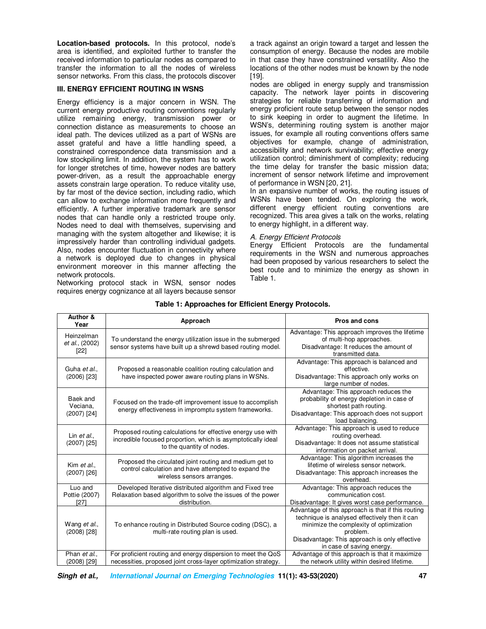**Location-based protocols.** In this protocol, node's area is identified, and exploited further to transfer the received information to particular nodes as compared to transfer the information to all the nodes of wireless sensor networks. From this class, the protocols discover

## **III. ENERGY EFFICIENT ROUTING IN WSNS**

Energy efficiency is a major concern in WSN. The current energy productive routing conventions regularly utilize remaining energy, transmission power or connection distance as measurements to choose an ideal path. The devices utilized as a part of WSNs are asset grateful and have a little handling speed, a constrained correspondence data transmission and a low stockpiling limit. In addition, the system has to work for longer stretches of time, however nodes are battery power-driven, as a result the approachable energy assets constrain large operation. To reduce vitality use, by far most of the device section, including radio, which can allow to exchange information more frequently and efficiently. A further imperative trademark are sensor nodes that can handle only a restricted troupe only. Nodes need to deal with themselves, supervising and managing with the system altogether and likewise; it is impressively harder than controlling individual gadgets. Also, nodes encounter fluctuation in connectivity where a network is deployed due to changes in physical environment moreover in this manner affecting the network protocols.

Networking protocol stack in WSN, sensor nodes requires energy cognizance at all layers because sensor a track against an origin toward a target and lessen the consumption of energy. Because the nodes are mobile in that case they have constrained versatility. Also the locations of the other nodes must be known by the node [19].

nodes are obliged in energy supply and transmission capacity. The network layer points in discovering strategies for reliable transferring of information and energy proficient route setup between the sensor nodes to sink keeping in order to augment the lifetime. In WSN's, determining routing system is another major issues, for example all routing conventions offers same objectives for example, change of administration, accessibility and network survivability; effective energy utilization control; diminishment of complexity; reducing the time delay for transfer the basic mission data; increment of sensor network lifetime and improvement of performance in WSN [20, 21].

In an expansive number of works, the routing issues of WSNs have been tended. On exploring the work, different energy efficient routing conventions are recognized. This area gives a talk on the works, relating to energy highlight, in a different way.

# *A. Energy Efficient Protocols*

Energy Efficient Protocols are the fundamental requirements in the WSN and numerous approaches had been proposed by various researchers to select the best route and to minimize the energy as shown in Table 1.

| Author &<br>Year                       | Approach                                                                                                                                                 | <b>Pros and cons</b>                                                                                                                                                                                                                     |
|----------------------------------------|----------------------------------------------------------------------------------------------------------------------------------------------------------|------------------------------------------------------------------------------------------------------------------------------------------------------------------------------------------------------------------------------------------|
| Heinzelman<br>et al., (2002)<br>$[22]$ | To understand the energy utilization issue in the submerged<br>sensor systems have built up a shrewd based routing model.                                | Advantage: This approach improves the lifetime<br>of multi-hop approaches.<br>Disadvantage: It reduces the amount of<br>transmitted data.                                                                                                |
| Guha et al.,<br>$(2006)$ [23]          | Proposed a reasonable coalition routing calculation and<br>have inspected power aware routing plans in WSNs.                                             | Advantage: This approach is balanced and<br>effective.<br>Disadvantage: This approach only works on<br>large number of nodes.                                                                                                            |
| Baek and<br>Veciana,<br>(2007) [24]    | Focused on the trade-off improvement issue to accomplish<br>energy effectiveness in impromptu system frameworks.                                         | Advantage: This approach reduces the<br>probability of energy depletion in case of<br>shortest path routing.<br>Disadvantage: This approach does not support<br>load balancing.                                                          |
| Lin et al.,<br>$(2007)$ [25]           | Proposed routing calculations for effective energy use with<br>incredible focused proportion, which is asymptotically ideal<br>to the quantity of nodes. | Advantage: This approach is used to reduce<br>routing overhead.<br>Disadvantage: It does not assume statistical<br>information on packet arrival.                                                                                        |
| Kim et al<br>$(2007)$ [26]             | Proposed the circulated joint routing and medium get to<br>control calculation and have attempted to expand the<br>wireless sensors arranges.            | Advantage: This algorithm increases the<br>lifetime of wireless sensor network.<br>Disadvantage: This approach increases the<br>overhead.                                                                                                |
| Luo and<br>Pottie (2007)<br>[27]       | Developed Iterative distributed algorithm and Fixed tree<br>Relaxation based algorithm to solve the issues of the power<br>distribution.                 | Advantage: This approach reduces the<br>communication cost.<br>Disadvantage: It gives worst case performance.                                                                                                                            |
| Wang et al.,<br>$(2008)$ [28]          | To enhance routing in Distributed Source coding (DSC), a<br>multi-rate routing plan is used.                                                             | Advantage of this approach is that if this routing<br>technique is analysed effectively then it can<br>minimize the complexity of optimization<br>problem.<br>Disadvantage: This approach is only effective<br>in case of saving energy. |
| Phan et al.,<br>$(2008)$ [29]          | For proficient routing and energy dispersion to meet the QoS<br>necessities, proposed joint cross-layer optimization strategy.                           | Advantage of this approach is that it maximize<br>the network utility within desired lifetime.                                                                                                                                           |

#### **Table 1: Approaches for Efficient Energy Protocols.**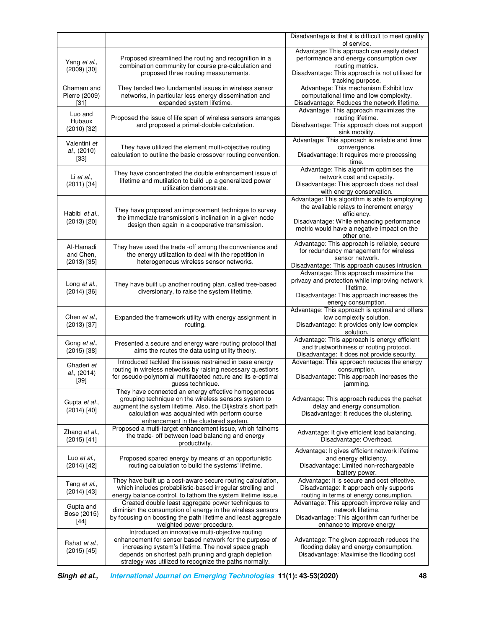|                                         |                                                                                                                                                                                                                                                                                      | Disadvantage is that it is difficult to meet quality<br>of service.                                                                                                                                                |
|-----------------------------------------|--------------------------------------------------------------------------------------------------------------------------------------------------------------------------------------------------------------------------------------------------------------------------------------|--------------------------------------------------------------------------------------------------------------------------------------------------------------------------------------------------------------------|
| Yang et al.,<br>$(2009)$ [30]           | Proposed streamlined the routing and recognition in a<br>combination community for course pre-calculation and<br>proposed three routing measurements.                                                                                                                                | Advantage: This approach can easily detect<br>performance and energy consumption over<br>routing metrics.<br>Disadvantage: This approach is not utilised for<br>tracking purpose.                                  |
| Chamam and<br>Pierre (2009)<br>$[31]$   | They tended two fundamental issues in wireless sensor<br>networks, in particular less energy dissemination and<br>expanded system lifetime.                                                                                                                                          | Advantage: This mechanism Exhibit low<br>computational time and low complexity.<br>Disadvantage: Reduces the network lifetime.                                                                                     |
| Luo and<br>Hubaux<br>$(2010)$ [32]      | Proposed the issue of life span of wireless sensors arranges<br>and proposed a primal-double calculation.                                                                                                                                                                            | Advantage: This approach maximizes the<br>routing lifetime.<br>Disadvantage: This approach does not support<br>sink mobility.                                                                                      |
| Valentini et<br>al., (2010)<br>$[33]$   | They have utilized the element multi-objective routing<br>calculation to outline the basic crossover routing convention.                                                                                                                                                             | Advantage: This approach is reliable and time<br>convergence.<br>Disadvantage: It requires more processing<br>time.                                                                                                |
| Li et al.,<br>$(2011)$ [34]             | They have concentrated the double enhancement issue of<br>lifetime and mutilation to build up a generalized power<br>utilization demonstrate.                                                                                                                                        | Advantage: This algorithm optimises the<br>network cost and capacity.<br>Disadvantage: This approach does not deal<br>with energy conservation.                                                                    |
| Habibi et al.,<br>$(2013)$ $[20]$       | They have proposed an improvement technique to survey<br>the immediate transmission's inclination in a given node<br>design then again in a cooperative transmission.                                                                                                                | Advantage: This algorithm is able to employing<br>the available relays to increment energy<br>efficiency.<br>Disadvantage: While enhancing performance<br>metric would have a negative impact on the<br>other one. |
| Al-Hamadi<br>and Chen,<br>$(2013)$ [35] | They have used the trade -off among the convenience and<br>the energy utilization to deal with the repetition in<br>heterogeneous wireless sensor networks.                                                                                                                          | Advantage: This approach is reliable, secure<br>for redundancy management for wireless<br>sensor network.<br>Disadvantage: This approach causes intrusion.                                                         |
| Long et al.,<br>$(2014)$ [36]           | They have built up another routing plan, called tree-based<br>diversionary, to raise the system lifetime.                                                                                                                                                                            | Advantage: This approach maximize the<br>privacy and protection while improving network<br>lifetime.<br>Disadvantage: This approach increases the<br>energy consumption.                                           |
| Chen et al.,<br>$(2013)$ [37]           | Expanded the framework utility with energy assignment in<br>routing.                                                                                                                                                                                                                 | Advantage: This approach is optimal and offers<br>low complexity solution.<br>Disadvantage: It provides only low complex<br>solution.                                                                              |
| Gong et al.,<br>$(2015)$ [38]           | Presented a secure and energy ware routing protocol that<br>aims the routes the data using utility theory.                                                                                                                                                                           | Advantage: This approach is energy efficient<br>and trustworthiness of routing protocol.<br>Disadvantage: It does not provide security.                                                                            |
| Ghaderi et<br>al., (2014)<br>$[39]$     | Introduced tackled the issues restrained in base energy<br>routing in wireless networks by raising necessary questions<br>for pseudo-polynomial multifaceted nature and its e-optimal<br>guess technique.                                                                            | Advantage: This approach reduces the energy<br>consumption.<br>Disadvantage: This approach increases the<br>jamming.                                                                                               |
| Gupta et al.,<br>$(2014)$ [40]          | They have connected an energy effective homogeneous<br>grouping technique on the wireless sensors system to<br>augment the system lifetime. Also, the Dijkstra's short path<br>calculation was acquainted with perform course<br>enhancement in the clustered system.                | Advantage: This approach reduces the packet<br>delay and energy consumption.<br>Disadvantage: It reduces the clustering.                                                                                           |
| Zhang et al.,<br>$(2015)$ [41]          | Proposed a multi-target enhancement issue, which fathoms<br>the trade- off between load balancing and energy<br>productivity.                                                                                                                                                        | Advantage: It give efficient load balancing.<br>Disadvantage: Overhead.                                                                                                                                            |
| Luo et al.,<br>$(2014)$ [42]            | Proposed spared energy by means of an opportunistic<br>routing calculation to build the systems' lifetime.                                                                                                                                                                           | Advantage: It gives efficient network lifetime<br>and energy efficiency.<br>Disadvantage: Limited non-rechargeable<br>battery power.                                                                               |
| Tang et al.,<br>$(2014)$ [43]           | They have built up a cost-aware secure routing calculation,<br>which includes probabilistic-based irregular strolling and<br>energy balance control, to fathom the system lifetime issue.                                                                                            | Advantage: It is secure and cost effective.<br>Disadvantage: It approach only supports<br>routing in terms of energy consumption.                                                                                  |
| Gupta and<br>Bose (2015)<br>$[44]$      | Created double least aggregate power techniques to<br>diminish the consumption of energy in the wireless sensors<br>by focusing on boosting the path lifetime and least aggregate<br>weighted power procedure.                                                                       | Advantage: This approach improve relay and<br>network lifetime.<br>Disadvantage: This algorithm can further be<br>enhance to improve energy                                                                        |
| Rahat et al.,<br>$(2015)$ [45]          | Introduced an innovative multi-objective routing<br>enhancement for sensor based network for the purpose of<br>increasing system's lifetime. The novel space graph<br>depends on shortest path pruning and graph depletion<br>strategy was utilized to recognize the paths normally. | Advantage: The given approach reduces the<br>flooding delay and energy consumption.<br>Disadvantage: Maximise the flooding cost                                                                                    |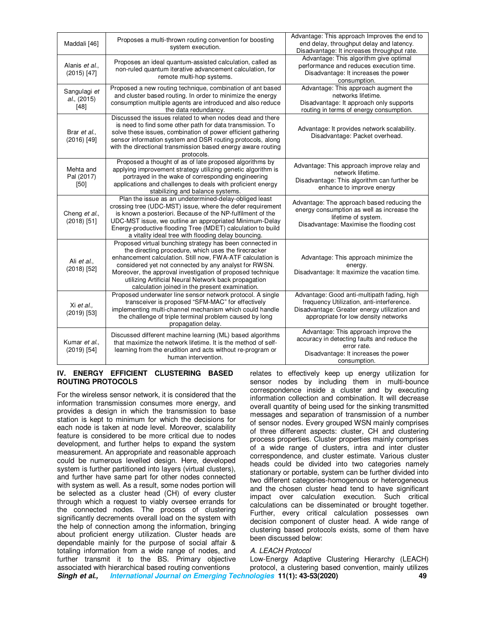| Maddali [46]                          | Proposes a multi-thrown routing convention for boosting<br>system execution.                                                                                                                                                                                                                                                                                                                                   | Advantage: This approach Improves the end to<br>end delay, throughput delay and latency.<br>Disadvantage: It increases throughput rate.                                          |
|---------------------------------------|----------------------------------------------------------------------------------------------------------------------------------------------------------------------------------------------------------------------------------------------------------------------------------------------------------------------------------------------------------------------------------------------------------------|----------------------------------------------------------------------------------------------------------------------------------------------------------------------------------|
| Alanis et al.,<br>$(2015)$ [47]       | Proposes an ideal quantum-assisted calculation, called as<br>non-ruled quantum iterative advancement calculation, for<br>remote multi-hop systems.                                                                                                                                                                                                                                                             | Advantage: This algorithm give optimal<br>performance and reduces execution time.<br>Disadvantage: It increases the power<br>consumption.                                        |
| Sangulagi et<br>al., (2015)<br>$[48]$ | Proposed a new routing technique, combination of ant based<br>and cluster based routing. In order to minimize the energy<br>consumption multiple agents are introduced and also reduce<br>the data redundancy.                                                                                                                                                                                                 | Advantage: This approach augment the<br>networks lifetime.<br>Disadvantage: It approach only supports<br>routing in terms of energy consumption.                                 |
| Brar et al.,<br>$(2016)$ [49]         | Discussed the issues related to when nodes dead and there<br>is need to find some other path for data transmission. To<br>solve these issues, combination of power efficient gathering<br>sensor information system and DSR routing protocols, along<br>with the directional transmission based energy aware routing<br>protocols.                                                                             | Advantage: It provides network scalability.<br>Disadvantage: Packet overhead.                                                                                                    |
| Mehta and<br>Pal (2017)<br>$[50]$     | Proposed a thought of as of late proposed algorithms by<br>applying improvement strategy utilizing genetic algorithm is<br>portrayed in the wake of corresponding engineering<br>applications and challenges to deals with proficient energy<br>stabilizing and balance systems.                                                                                                                               | Advantage: This approach improve relay and<br>network lifetime.<br>Disadvantage: This algorithm can further be<br>enhance to improve energy                                      |
| Cheng et al.,<br>$(2018)$ [51]        | Plan the issue as an undetermined-delay-obliged least<br>crossing tree (UDC-MST) issue, where the defer requirement<br>is known a posteriori. Because of the NP-fulfilment of the<br>UDC-MST issue, we outline an appropriated Minimum-Delay<br>Energy-productive flooding Tree (MDET) calculation to build<br>a vitality ideal tree with flooding delay bouncing.                                             | Advantage: The approach based reducing the<br>energy consumption as well as increase the<br>lifetime of system.<br>Disadvantage: Maximise the flooding cost                      |
| Ali et al.,<br>$(2018)$ [52]          | Proposed virtual bunching strategy has been connected in<br>the directing procedure, which uses the firecracker<br>enhancement calculation. Still now, FWA-ATF calculation is<br>considered yet not connected by any analyst for RWSN.<br>Moreover, the approval investigation of proposed technique<br>utilizing Artificial Neural Network back propagation<br>calculation joined in the present examination. | Advantage: This approach minimize the<br>energy.<br>Disadvantage: It maximize the vacation time.                                                                                 |
| Xi et al.,<br>$(2019)$ [53]           | Proposed underwater line sensor network protocol. A single<br>transceiver is proposed "SFM-MAC" for effectively<br>implementing multi-channel mechanism which could handle<br>the challenge of triple terminal problem caused by long<br>propagation delay.                                                                                                                                                    | Advantage: Good anti-multipath fading, high<br>frequency Utilization, anti-interference.<br>Disadvantage: Greater energy utilization and<br>appropriate for low density networks |
| Kumar et al.,<br>$(2019)$ [54]        | Discussed different machine learning (ML) based algorithms<br>that maximize the network lifetime. It is the method of self-<br>learning from the erudition and acts without re-program or<br>human intervention.                                                                                                                                                                                               | Advantage: This approach improve the<br>accuracy in detecting faults and reduce the<br>error rate.<br>Disadvantage: It increases the power<br>consumption.                       |

#### **IV. ENERGY EFFICIENT CLUSTERING BASED ROUTING PROTOCOLS**

For the wireless sensor network, it is considered that the information transmission consumes more energy, and provides a design in which the transmission to base station is kept to minimum for which the decisions for each node is taken at node level. Moreover, scalability feature is considered to be more critical due to nodes development, and further helps to expand the system measurement. An appropriate and reasonable approach could be numerous levelled design. Here, developed system is further partitioned into layers (virtual clusters), and further have same part for other nodes connected with system as well. As a result, some nodes portion will be selected as a cluster head (CH) of every cluster through which a request to viably oversee errands for the connected nodes. The process of clustering significantly decrements overall load on the system with the help of connection among the information, bringing about proficient energy utilization. Cluster heads are dependable mainly for the purpose of social affair & totaling information from a wide range of nodes, and further transmit it to the BS. Primary objective associated with hierarchical based routing conventions

relates to effectively keep up energy utilization for sensor nodes by including them in multi-bounce correspondence inside a cluster and by executing information collection and combination. It will decrease overall quantity of being used for the sinking transmitted messages and separation of transmission of a number of sensor nodes. Every grouped WSN mainly comprises of three different aspects: cluster, CH and clustering process properties. Cluster properties mainly comprises of a wide range of clusters, intra and inter cluster correspondence, and cluster estimate. Various cluster heads could be divided into two categories namely stationary or portable, system can be further divided into two different categories-homogenous or heterogeneous and the chosen cluster head tend to have significant impact over calculation execution. Such critical calculations can be disseminated or brought together. Further, every critical calculation possesses own decision component of cluster head. A wide range of clustering based protocols exists, some of them have been discussed below:

# *A. LEACH Protocol*

**Singh et al., International Journal on Emerging Technologies 11(1): 43-53(2020) 49** Low-Energy Adaptive Clustering Hierarchy (LEACH) protocol, a clustering based convention, mainly utilizes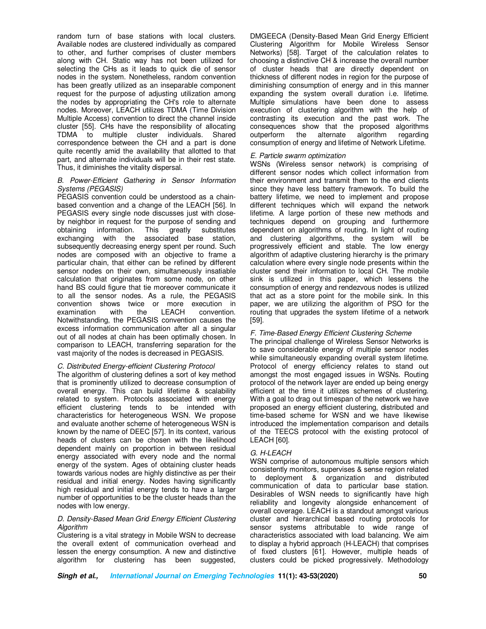random turn of base stations with local clusters. Available nodes are clustered individually as compared to other, and further comprises of cluster members along with CH. Static way has not been utilized for selecting the CHs as it leads to quick die of sensor nodes in the system. Nonetheless, random convention has been greatly utilized as an inseparable component request for the purpose of adjusting utilization among the nodes by appropriating the CH's role to alternate nodes. Moreover, LEACH utilizes TDMA (Time Division Multiple Access) convention to direct the channel inside cluster [55]. CHs have the responsibility of allocating TDMA to multiple cluster individuals. Shared correspondence between the CH and a part is done quite recently amid the availability that allotted to that part, and alternate individuals will be in their rest state. Thus, it diminishes the vitality dispersal.

#### *B. Power-Efficient Gathering in Sensor Information Systems (PEGASIS)*

PEGASIS convention could be understood as a chainbased convention and a change of the LEACH [56]. In PEGASIS every single node discusses just with closeby neighbor in request for the purpose of sending and obtaining information. This greatly substitutes exchanging with the associated base station, subsequently decreasing energy spent per round. Such nodes are composed with an objective to frame a particular chain, that either can be refined by different sensor nodes on their own, simultaneously insatiable calculation that originates from some node, on other hand BS could figure that tie moreover communicate it to all the sensor nodes. As a rule, the PEGASIS convention shows twice or more execution in examination with the LEACH convention. Notwithstanding, the PEGASIS convention causes the excess information communication after all a singular out of all nodes at chain has been optimally chosen. In comparison to LEACH, transferring separation for the vast majority of the nodes is decreased in PEGASIS.

# *C. Distributed Energy-efficient Clustering Protocol*

The algorithm of clustering defines a sort of key method that is prominently utilized to decrease consumption of overall energy. This can build lifetime & scalability related to system. Protocols associated with energy efficient clustering tends to be intended with characteristics for heterogeneous WSN. We propose and evaluate another scheme of heterogeneous WSN is known by the name of DEEC [57]. In its context, various heads of clusters can be chosen with the likelihood dependent mainly on proportion in between residual energy associated with every node and the normal energy of the system. Ages of obtaining cluster heads towards various nodes are highly distinctive as per their residual and initial energy. Nodes having significantly high residual and initial energy tends to have a larger number of opportunities to be the cluster heads than the nodes with low energy.

#### *D. Density-Based Mean Grid Energy Efficient Clustering Algorithm*

Clustering is a vital strategy in Mobile WSN to decrease the overall extent of communication overhead and lessen the energy consumption. A new and distinctive algorithm for clustering has been suggested,

DMGEECA (Density-Based Mean Grid Energy Efficient Clustering Algorithm for Mobile Wireless Sensor Networks) [58]. Target of the calculation relates to choosing a distinctive CH & increase the overall number of cluster heads that are directly dependent on thickness of different nodes in region for the purpose of diminishing consumption of energy and in this manner expanding the system overall duration i.e. lifetime. Multiple simulations have been done to assess execution of clustering algorithm with the help of contrasting its execution and the past work. The consequences show that the proposed algorithms outperform the alternate algorithm consumption of energy and lifetime of Network Lifetime.

# *E. Particle swarm optimization*

WSNs (Wireless sensor network) is comprising of different sensor nodes which collect information from their environment and transmit them to the end clients since they have less battery framework. To build the battery lifetime, we need to implement and propose different techniques which will expand the network lifetime. A large portion of these new methods and techniques depend on grouping and furthermore dependent on algorithms of routing. In light of routing and clustering algorithms, the system will be progressively efficient and stable. The low energy algorithm of adaptive clustering hierarchy is the primary calculation where every single node presents within the cluster send their information to local CH. The mobile sink is utilized in this paper, which lessens the consumption of energy and rendezvous nodes is utilized that act as a store point for the mobile sink. In this paper, we are utilizing the algorithm of PSO for the routing that upgrades the system lifetime of a network [59].

# *F. Time-Based Energy Efficient Clustering Scheme*

The principal challenge of Wireless Sensor Networks is to save considerable energy of multiple sensor nodes while simultaneously expanding overall system lifetime. Protocol of energy efficiency relates to stand out amongst the most engaged issues in WSNs. Routing protocol of the network layer are ended up being energy efficient at the time it utilizes schemes of clustering. With a goal to drag out timespan of the network we have proposed an energy efficient clustering, distributed and time-based scheme for WSN and we have likewise introduced the implementation comparison and details of the TEECS protocol with the existing protocol of LEACH [60].

# *G*. *H-LEACH*

WSN comprise of autonomous multiple sensors which consistently monitors, supervises & sense region related to deployment & organization and distributed communication of data to particular base station. Desirables of WSN needs to significantly have high reliability and longevity alongside enhancement of overall coverage. LEACH is a standout amongst various cluster and hierarchical based routing protocols for sensor systems attributable to wide range of characteristics associated with load balancing. We aim to display a hybrid approach (H-LEACH) that comprises of fixed clusters [61]. However, multiple heads of clusters could be picked progressively. Methodology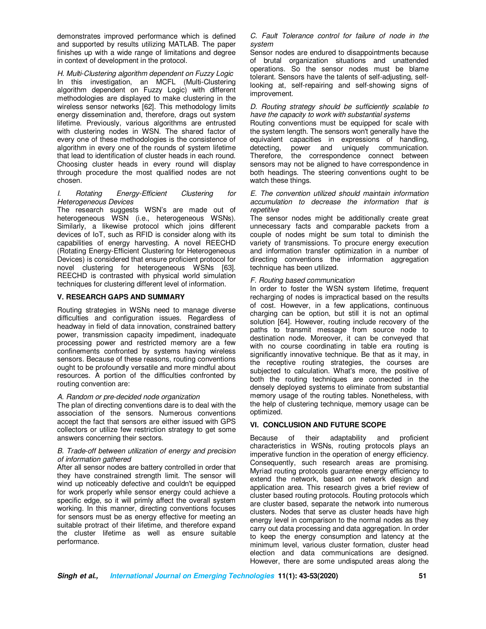demonstrates improved performance which is defined and supported by results utilizing MATLAB. The paper finishes up with a wide range of limitations and degree in context of development in the protocol.

*H. Multi-Clustering algorithm dependent on Fuzzy Logic* In this investigation, an MCFL (Multi-Clustering algorithm dependent on Fuzzy Logic) with different methodologies are displayed to make clustering in the wireless sensor networks [62]. This methodology limits energy dissemination and, therefore, drags out system lifetime. Previously, various algorithms are entrusted with clustering nodes in WSN. The shared factor of every one of these methodologies is the consistence of algorithm in every one of the rounds of system lifetime that lead to identification of cluster heads in each round. Choosing cluster heads in every round will display through procedure the most qualified nodes are not chosen.

#### *I. Rotating Energy-Efficient Clustering for Heterogeneous Devices*

The research suggests WSN's are made out of heterogeneous WSN (i.e., heterogeneous WSNs). Similarly, a likewise protocol which joins different devices of IoT, such as RFID is consider along with its capabilities of energy harvesting. A novel REECHD (Rotating Energy-Efficient Clustering for Heterogeneous Devices) is considered that ensure proficient protocol for novel clustering for heterogeneous WSNs [63]. REECHD is contrasted with physical world simulation techniques for clustering different level of information.

# **V. RESEARCH GAPS AND SUMMARY**

Routing strategies in WSNs need to manage diverse difficulties and configuration issues. Regardless of headway in field of data innovation, constrained battery power, transmission capacity impediment, inadequate processing power and restricted memory are a few confinements confronted by systems having wireless sensors. Because of these reasons, routing conventions ought to be profoundly versatile and more mindful about resources. A portion of the difficulties confronted by routing convention are:

# *A. Random or pre-decided node organization*

The plan of directing conventions dare is to deal with the association of the sensors. Numerous conventions accept the fact that sensors are either issued with GPS collectors or utilize few restriction strategy to get some answers concerning their sectors.

# *B. Trade-off between utilization of energy and precision of information gathered*

After all sensor nodes are battery controlled in order that they have constrained strength limit. The sensor will wind up noticeably defective and couldn't be equipped for work properly while sensor energy could achieve a specific edge, so it will primly affect the overall system working. In this manner, directing conventions focuses for sensors must be as energy effective for meeting an suitable protract of their lifetime, and therefore expand the cluster lifetime as well as ensure suitable performance.

*C. Fault Tolerance control for failure of node in the system* 

Sensor nodes are endured to disappointments because of brutal organization situations and unattended operations. So the sensor nodes must be blame tolerant. Sensors have the talents of self-adjusting, selflooking at, self-repairing and self-showing signs of improvement.

*D. Routing strategy should be sufficiently scalable to have the capacity to work with substantial systems* 

Routing conventions must be equipped for scale with the system length. The sensors won't generally have the equivalent capacities in expressions of handling, detecting, power and uniquely communication. Therefore, the correspondence connect between sensors may not be aligned to have correspondence in both headings. The steering conventions ought to be watch these things.

*E. The convention utilized should maintain information accumulation to decrease the information that is repetitive* 

The sensor nodes might be additionally create great unnecessary facts and comparable packets from a couple of nodes might be sum total to diminish the variety of transmissions. To procure energy execution and information transfer optimization in a number of directing conventions the information aggregation technique has been utilized.

# *F. Routing based communication*

In order to foster the WSN system lifetime, frequent recharging of nodes is impractical based on the results of cost. However, in a few applications, continuous charging can be option, but still it is not an optimal solution [64]. However, routing include recovery of the paths to transmit message from source node to destination node. Moreover, it can be conveyed that with no course coordinating in table era routing is significantly innovative technique. Be that as it may, in the receptive routing strategies, the courses are subjected to calculation. What's more, the positive of both the routing techniques are connected in the densely deployed systems to eliminate from substantial memory usage of the routing tables. Nonetheless, with the help of clustering technique, memory usage can be optimized.

# **VI. CONCLUSION AND FUTURE SCOPE**

Because of their adaptability and proficient characteristics in WSNs, routing protocols plays an imperative function in the operation of energy efficiency. Consequently, such research areas are promising. Myriad routing protocols guarantee energy efficiency to extend the network, based on network design and application area. This research gives a brief review of cluster based routing protocols. Routing protocols which are cluster based, separate the network into numerous clusters. Nodes that serve as cluster heads have high energy level in comparison to the normal nodes as they carry out data processing and data aggregation. In order to keep the energy consumption and latency at the minimum level, various cluster formation, cluster head election and data communications are designed. However, there are some undisputed areas along the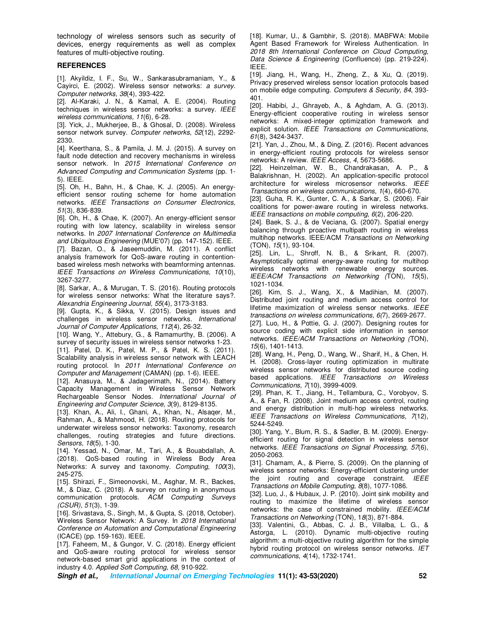technology of wireless sensors such as security of devices, energy requirements as well as complex features of multi-objective routing.

## **REFERENCES**

[1]. Akyildiz, I. F., Su, W., Sankarasubramaniam, Y., & Cayirci, E. (2002). Wireless sensor networks: *a survey. Computer networks, 38*(4), 393-422.

[2]. Al-Karaki, J. N., & Kamal, A. E. (2004). Routing techniques in wireless sensor networks: a survey. *IEEE wireless communications, 11*(6), 6-28.

[3]. Yick, J., Mukherjee, B., & Ghosal, D. (2008). Wireless sensor network survey. *Computer networks, 52*(12), 2292- 2330.

[4]. Keerthana, S., & Pamila, J. M. J. (2015). A survey on fault node detection and recovery mechanisms in wireless sensor network. In *2015 International Conference on Advanced Computing and Communication Systems* (pp. 1- 5). IEEE.

[5]. Oh, H., Bahn, H., & Chae, K. J. (2005). An energyefficient sensor routing scheme for home automation networks. *IEEE Transactions on Consumer Electronics, 51*(3), 836-839.

[6]. Oh, H., & Chae, K. (2007). An energy-efficient sensor routing with low latency, scalability in wireless sensor networks. In *2007 International Conference on Multimedia and Ubiquitous Engineering* (MUE'07) (pp. 147-152). IEEE.

[7]. Bazan, O., & Jaseemuddin, M. (2011). A conflict analysis framework for QoS-aware routing in contentionbased wireless mesh networks with beamforming antennas. *IEEE Transactions on Wireless Communications, 10*(10), 3267-3277.

[8]. Sarkar, A., & Murugan, T. S. (2016). Routing protocols for wireless sensor networks: What the literature says?. *Alexandria Engineering Journal, 55*(4), 3173-3183.

[9]. Gupta, K., & Sikka, V. (2015). Design issues and challenges in wireless sensor networks. *International Journal of Computer Applications, 112*(4), 26-32.

[10]. Wang, Y., Attebury, G., & Ramamurthy, B. (2006). A survey of security issues in wireless sensor networks 1-23.

[11]. Patel, D. K., Patel, M. P., & Patel, K. S. (2011). Scalability analysis in wireless sensor network with LEACH routing protocol. In *2011 International Conference on Computer and Management* (CAMAN) (pp. 1-6). IEEE.

[12]. Anasuya, M., & Jadagerimath, N., (2014). Battery Capacity Management in Wireless Sensor Network Rechargeable Sensor Nodes. *International Journal of Engineering and Computer Science, 3*(9), 8129-8135.

[13]. Khan, A., Ali, I., Ghani, A., Khan, N., Alsaqer, M., Rahman, A., & Mahmood, H. (2018). Routing protocols for underwater wireless sensor networks: Taxonomy, research challenges, routing strategies and future directions. *Sensors, 18*(5), 1-30.

[14]. Yessad, N., Omar, M., Tari, A., & Bouabdallah, A. (2018). QoS-based routing in Wireless Body Area Networks: A survey and taxonomy. *Computing, 100*(3), 245-275.

[15]. Shirazi, F., Simeonovski, M., Asghar, M. R., Backes, M., & Diaz, C. (2018). A survey on routing in anonymous communication protocols. *ACM Computing Surveys (CSUR), 51*(3), 1-39.

[16]. Srivastava, S., Singh, M., & Gupta, S. (2018, October). Wireless Sensor Network: A Survey. In *2018 International Conference on Automation and Computational Engineering* (ICACE) (pp. 159-163). IEEE.

[17]. Faheem, M., & Gungor, V. C. (2018). Energy efficient and QoS-aware routing protocol for wireless sensor network-based smart grid applications in the context of industry 4.0. *Applied Soft Computing, 68,* 910-922.

[18]. Kumar, U., & Gambhir, S. (2018). MABFWA: Mobile Agent Based Framework for Wireless Authentication. In *2018 8th International Conference on Cloud Computing, Data Science & Engineering* (Confluence) (pp. 219-224). IEEE.

[19]. Jiang, H., Wang, H., Zheng, Z., & Xu, Q. (2019). Privacy preserved wireless sensor location protocols based on mobile edge computing. *Computers & Security, 84*, 393- 401.

[20]. Habibi, J., Ghrayeb, A., & Aghdam, A. G. (2013). Energy-efficient cooperative routing in wireless sensor networks: A mixed-integer optimization framework and explicit solution. *IEEE Transactions on Communications, 61*(8), 3424-3437.

[21]. Yan, J., Zhou, M., & Ding, Z. (2016). Recent advances in energy-efficient routing protocols for wireless sensor networks: A review. *IEEE Access, 4*, 5673-5686.

[22]. Heinzelman, W. B., Chandrakasan, A. P., & Balakrishnan, H. (2002). An application-specific protocol architecture for wireless microsensor networks. *IEEE Transactions on wireless communications, 1*(4), 660-670.

[23]. Guha, R. K., Gunter, C. A., & Sarkar, S. (2006). Fair coalitions for power-aware routing in wireless networks. *IEEE transactions on mobile computing*, *6*(2), 206-220.

[24]. Baek, S. J., & de Veciana, G. (2007). Spatial energy balancing through proactive multipath routing in wireless multihop networks. IEEE/ACM *Transactions on Networking* (TON), *15*(1), 93-104.

[25]. Lin, L., Shroff, N. B., & Srikant, R. (2007). Asymptotically optimal energy-aware routing for multihop wireless networks with renewable energy sources*. IEEE/ACM Transactions on Networking (*TON), *15*(5), 1021-1034.

[26]. Kim, S. J., Wang, X., & Madihian, M. (2007). Distributed joint routing and medium access control for lifetime maximization of wireless sensor networks. *IEEE transactions on wireless communications, 6(*7), 2669-2677.

[27]. Luo, H., & Pottie, G. J. (2007). Designing routes for source coding with explicit side information in sensor networks. *IEEE/ACM Transactions on Networking (*TON), *15*(6), 1401-1413.

[28]. Wang, H., Peng, D., Wang, W., Sharif, H., & Chen, H. H. (2008). Cross-layer routing optimization in multirate wireless sensor networks for distributed source coding based applications. *IEEE Transactions on Wireless Communications, 7*(10), 3999-4009.

[29]. Phan, K. T., Jiang, H., Tellambura, C., Vorobyov, S. A., & Fan, R. (2008). Joint medium access control, routing and energy distribution in multi-hop wireless networks. *IEEE Transactions on Wireless Communications, 7*(12), 5244-5249.

[30]. Yang, Y., Blum, R. S., & Sadler, B. M. (2009). Energyefficient routing for signal detection in wireless sensor networks. *IEEE Transactions on Signal Processing, 57*(6), 2050-2063.

[31]. Chamam, A., & Pierre, S. (2009). On the planning of wireless sensor networks: Energy-efficient clustering under the joint routing and coverage constraint. *IEEE Transactions on Mobile Computing, 8*(8), 1077-1086.

[32]. Luo, J., & Hubaux, J. P. (2010). Joint sink mobility and routing to maximize the lifetime of wireless sensor networks: the case of constrained mobility. *IEEE/ACM Transactions on Networking* (TON), 1*8*(3), 871-884.

[33]. Valentini, G., Abbas, C. J. B., Villalba, L. G., & Astorga, L. (2010). Dynamic multi-objective routing algorithm: a multi-objective routing algorithm for the simple hybrid routing protocol on wireless sensor networks. *IET communications, 4*(14), 1732-1741.

**Singh et al., International Journal on Emerging Technologies 11(1): 43-53(2020) 52**